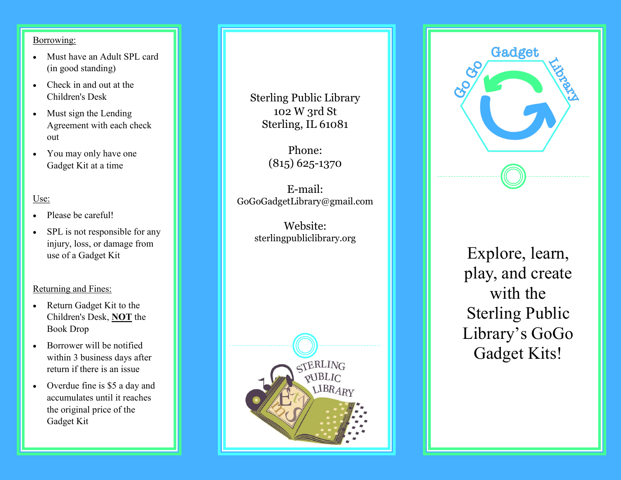## Borrowing:

- Must have an Adult SPL card (in good standing)
- Check in and out at the Children's Desk
- Must sign the Lending Agreement with each check out
- You may only have one Gadget Kit at a time

## Use:

- Please be careful!
- SPL is not responsible for any injury, loss, or damage from use of a Gadget Kit

## Returning and Fines:

- Return Gadget Kit to the Children's Desk, **NOT** the Book Drop
- Borrower will be notified within 3 business days after return if there is an issue
- Overdue fine is \$5 a day and accumulates until it reaches the original price of the Gadget Kit

Sterling Public Library 102 W 3rd St Sterling, IL 61081

> Phone: (815) 625 -1370

E -mail: GoGoGadgetLibrary@gmail.com

> Website: sterlingpubliclibrary.org





Explore, learn, play, and create with the Sterling Public Library 's GoGo Gadget Kits!